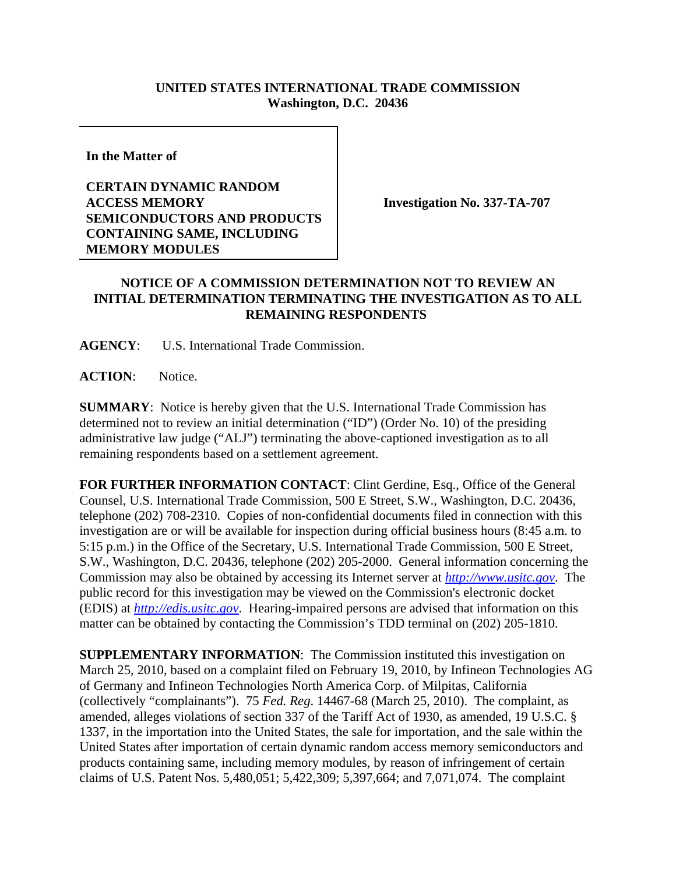## **UNITED STATES INTERNATIONAL TRADE COMMISSION Washington, D.C. 20436**

**In the Matter of** 

## **CERTAIN DYNAMIC RANDOM ACCESS MEMORY SEMICONDUCTORS AND PRODUCTS CONTAINING SAME, INCLUDING MEMORY MODULES**

**Investigation No. 337-TA-707**

## **NOTICE OF A COMMISSION DETERMINATION NOT TO REVIEW AN INITIAL DETERMINATION TERMINATING THE INVESTIGATION AS TO ALL REMAINING RESPONDENTS**

**AGENCY**: U.S. International Trade Commission.

**ACTION**: Notice.

**SUMMARY**: Notice is hereby given that the U.S. International Trade Commission has determined not to review an initial determination ("ID") (Order No. 10) of the presiding administrative law judge ("ALJ") terminating the above-captioned investigation as to all remaining respondents based on a settlement agreement.

**FOR FURTHER INFORMATION CONTACT**: Clint Gerdine, Esq., Office of the General Counsel, U.S. International Trade Commission, 500 E Street, S.W., Washington, D.C. 20436, telephone (202) 708-2310. Copies of non-confidential documents filed in connection with this investigation are or will be available for inspection during official business hours (8:45 a.m. to 5:15 p.m.) in the Office of the Secretary, U.S. International Trade Commission, 500 E Street, S.W., Washington, D.C. 20436, telephone (202) 205-2000. General information concerning the Commission may also be obtained by accessing its Internet server at *http://www.usitc.gov*. The public record for this investigation may be viewed on the Commission's electronic docket (EDIS) at *http://edis.usitc.gov*. Hearing-impaired persons are advised that information on this matter can be obtained by contacting the Commission's TDD terminal on (202) 205-1810.

**SUPPLEMENTARY INFORMATION:** The Commission instituted this investigation on March 25, 2010, based on a complaint filed on February 19, 2010, by Infineon Technologies AG of Germany and Infineon Technologies North America Corp. of Milpitas, California (collectively "complainants"). 75 *Fed. Reg*. 14467-68 (March 25, 2010). The complaint, as amended, alleges violations of section 337 of the Tariff Act of 1930, as amended, 19 U.S.C. § 1337, in the importation into the United States, the sale for importation, and the sale within the United States after importation of certain dynamic random access memory semiconductors and products containing same, including memory modules, by reason of infringement of certain claims of U.S. Patent Nos. 5,480,051; 5,422,309; 5,397,664; and 7,071,074. The complaint